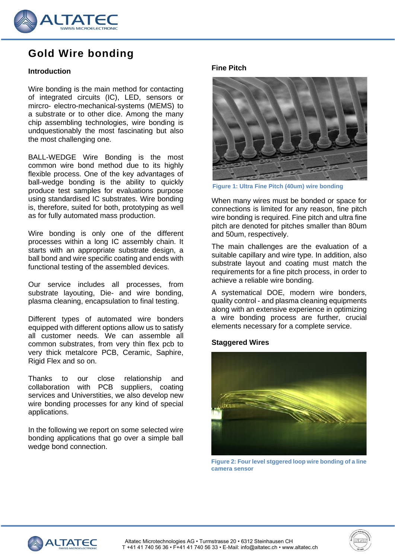

# **Gold Wire bonding**

# **Introduction**

Wire bonding is the main method for contacting of integrated circuits (IC), LED, sensors or mircro- electro-mechanical-systems (MEMS) to a substrate or to other dice. Among the many chip assembling technologies, wire bonding is undquestionably the most fascinating but also the most challenging one.

BALL-WEDGE Wire Bonding is the most common wire bond method due to its highly flexible process. One of the key advantages of ball-wedge bonding is the ability to quickly produce test samples for evaluations purpose using standardised IC substrates. Wire bonding is, therefore, suited for both, prototyping as well as for fully automated mass production.

Wire bonding is only one of the different processes within a long IC assembly chain. It starts with an appropriate substrate design, a ball bond and wire specific coating and ends with functional testing of the assembled devices.

Our service includes all processes, from substrate layouting, Die- and wire bonding, plasma cleaning, encapsulation to final testing.

Different types of automated wire bonders equipped with different options allow us to satisfy all customer needs. We can assemble all common substrates, from very thin flex pcb to very thick metalcore PCB, Ceramic, Saphire, Rigid Flex and so on.

Thanks to our close relationship and collaboration with PCB suppliers, coating services and Universtities, we also develop new wire bonding processes for any kind of special applications.

In the following we report on some selected wire bonding applications that go over a simple ball wedge bond connection.

#### **Fine Pitch**



**Figure 1: Ultra Fine Pitch (40um) wire bonding**

When many wires must be bonded or space for connections is limited for any reason, fine pitch wire bonding is required. Fine pitch and ultra fine pitch are denoted for pitches smaller than 80um and 50um, respectively.

The main challenges are the evaluation of a suitable capillary and wire type. In addition, also substrate layout and coating must match the requirements for a fine pitch process, in order to achieve a reliable wire bonding.

A systematical DOE, modern wire bonders, quality control - and plasma cleaning equipments along with an extensive experience in optimizing a wire bonding process are further, crucial elements necessary for a complete service.

## **Staggered Wires**



**Figure 2: Four level stggered loop wire bonding of a line camera sensor**

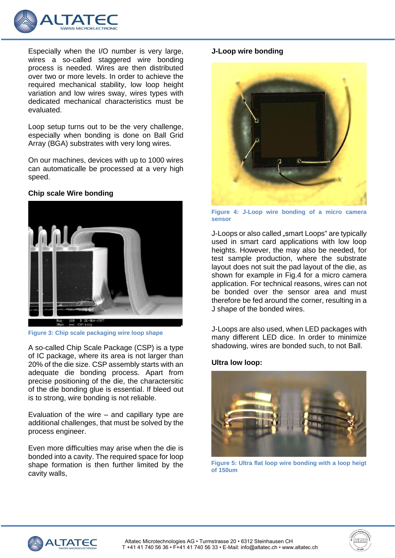

Especially when the I/O number is very large, wires a so-called staggered wire bonding process is needed. Wires are then distributed over two or more levels. In order to achieve the required mechanical stability, low loop height variation and low wires sway, wires types with dedicated mechanical characteristics must be evaluated.

Loop setup turns out to be the very challenge, especially when bonding is done on Ball Grid Array (BGA) substrates with very long wires.

On our machines, devices with up to 1000 wires can automaticalle be processed at a very high speed.

## **Chip scale Wire bonding**



**Figure 3: Chip scale packaging wire loop shape**

A so-called Chip Scale Package (CSP) is a type of IC package, where its area is not larger than 20% of the die size. CSP assembly starts with an adequate die bonding process. Apart from precise positioning of the die, the charactersitic of the die bonding glue is essential. If bleed out is to strong, wire bonding is not reliable.

Evaluation of the wire – and capillary type are additional challenges, that must be solved by the process engineer.

Even more difficulties may arise when the die is bonded into a cavity. The required space for loop shape formation is then further limited by the cavity walls,

## **J-Loop wire bonding**



**Figure 4: J-Loop wire bonding of a micro camera sensor**

J-Loops or also called "smart Loops" are typically used in smart card applications with low loop heights. However, the may also be needed, for test sample production, where the substrate layout does not suit the pad layout of the die, as shown for example in Fig.4 for a micro camera application. For technical reasons, wires can not be bonded over the sensor area and must therefore be fed around the corner, resulting in a J shape of the bonded wires.

J-Loops are also used, when LED packages with many different LED dice. In order to minimize shadowing, wires are bonded such, to not Ball.

## **Ultra low loop:**



**Figure 5: Ultra flat loop wire bonding with a loop heigt of 150um**

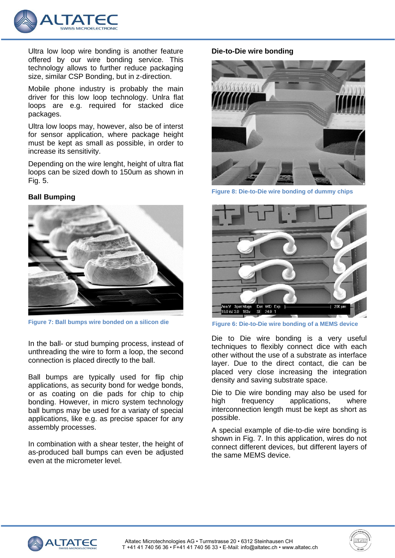

Ultra low loop wire bonding is another feature offered by our wire bonding service. This technology allows to further reduce packaging size, similar CSP Bonding, but in z-direction.

Mobile phone industry is probably the main driver for this low loop technology. Unlra flat loops are e.g. required for stacked dice packages.

Ultra low loops may, however, also be of interst for sensor application, where package height must be kept as small as possible, in order to increase its sensitivity.

Depending on the wire lenght, height of ultra flat loops can be sized dowh to 150um as shown in Fig. 5.

#### **Ball Bumping**



**Figure 7: Ball bumps wire bonded on a silicon die**

In the ball- or stud bumping process, instead of unthreading the wire to form a loop, the second connection is placed directly to the ball.

Ball bumps are typically used for flip chip applications, as security bond for wedge bonds, or as coating on die pads for chip to chip bonding. However, in micro system technology ball bumps may be used for a variaty of special applications, like e.g. as precise spacer for any assembly processes.

In combination with a shear tester, the height of as-produced ball bumps can even be adjusted even at the micrometer level.

#### **Die-to-Die wire bonding**



**Figure 8: Die-to-Die wire bonding of dummy chips**



**Figure 6: Die-to-Die wire bonding of a MEMS device**

Die to Die wire bonding is a very useful techniques to flexibly connect dice with each other without the use of a substrate as interface layer. Due to the direct contact, die can be placed very close increasing the integration density and saving substrate space.

Die to Die wire bonding may also be used for high frequency applications, where interconnection length must be kept as short as possible.

A special example of die-to-die wire bonding is shown in Fig. 7. In this application, wires do not connect different devices, but different layers of the same MEMS device.

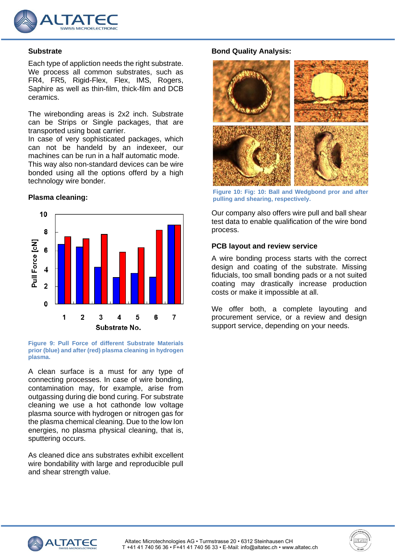

#### **Substrate**

Each type of appliction needs the right substrate. We process all common substrates, such as FR4, FR5, Rigid-Flex, Flex, IMS, Rogers, Saphire as well as thin-film, thick-film and DCB ceramics.

The wirebonding areas is 2x2 inch. Substrate can be Strips or Single packages, that are transported using boat carrier.

In case of very sophisticated packages, which can not be handeld by an indexeer, our machines can be run in a half automatic mode. This way also non-standard devices can be wire bonded using all the options offerd by a high technology wire bonder.

## **Plasma cleaning:**



**Figure 9: Pull Force of different Substrate Materials prior (blue) and after (red) plasma cleaning in hydrogen plasma.**

A clean surface is a must for any type of connecting processes. In case of wire bonding, contamination may, for example, arise from outgassing during die bond curing. For substrate cleaning we use a hot cathonde low voltage plasma source with hydrogen or nitrogen gas for the plasma chemical cleaning. Due to the low Ion energies, no plasma physical cleaning, that is, sputtering occurs.

As cleaned dice ans substrates exhibit excellent wire bondability with large and reproducible pull and shear strength value.

## **Bond Quality Analysis:**



**Figure 10: Fig: 10: Ball and Wedgbond pror and after pulling and shearing, respectively.**

Our company also offers wire pull and ball shear test data to enable qualification of the wire bond process.

#### **PCB layout and review service**

A wire bonding process starts with the correct design and coating of the substrate. Missing fiducials, too small bonding pads or a not suited coating may drastically increase production costs or make it impossible at all.

We offer both, a complete layouting and procurement service, or a review and design support service, depending on your needs.